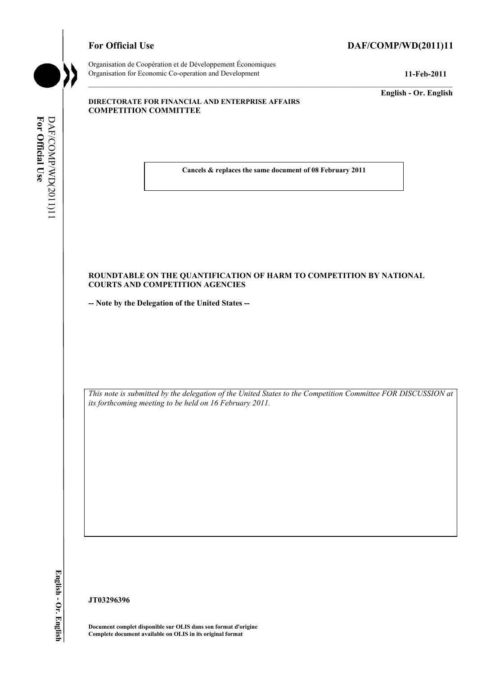# For Official Use DAF/COMP/WD(2011)11

**For Official** DAF/COMP For Official Use

/WD(2011)11

DAF/COMP/WD(2011)11

Organisation de Coopération et de Développement Économiques Organisation for Economic Co-operation and Development **11-Feb-2011** 

**English - Or. English** 

#### **DIRECTORATE FOR FINANCIAL AND ENTERPRISE AFFAIRS COMPETITION COMMITTEE**

 **Cancels & replaces the same document of 08 February 2011** 

### **ROUNDTABLE ON THE QUANTIFICATION OF HARM TO COMPETITION BY NATIONAL COURTS AND COMPETITION AGENCIES**

**-- Note by the Delegation of the United States --** 

 *This note is submitted by the delegation of the United States to the Competition Committee FOR DISCUSSION at its forthcoming meeting to be held on 16 February 2011.* 

**JT03296396** 

 **Document complet disponible sur OLIS dans son format d'origine Complete document available on OLIS in its original format**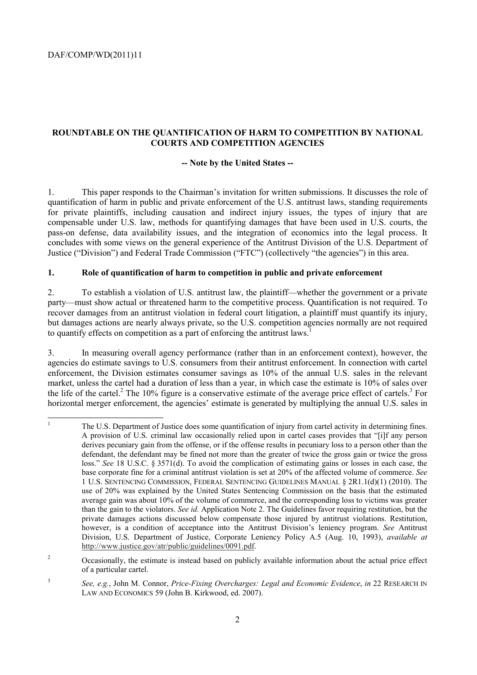$\overline{a}$ 

## **ROUNDTABLE ON THE QUANTIFICATION OF HARM TO COMPETITION BY NATIONAL COURTS AND COMPETITION AGENCIES**

## **-- Note by the United States --**

1. This paper responds to the Chairman's invitation for written submissions. It discusses the role of quantification of harm in public and private enforcement of the U.S. antitrust laws, standing requirements for private plaintiffs, including causation and indirect injury issues, the types of injury that are compensable under U.S. law, methods for quantifying damages that have been used in U.S. courts, the pass-on defense, data availability issues, and the integration of economics into the legal process. It concludes with some views on the general experience of the Antitrust Division of the U.S. Department of Justice ("Division") and Federal Trade Commission ("FTC") (collectively "the agencies") in this area.

#### **1. Role of quantification of harm to competition in public and private enforcement**

2. To establish a violation of U.S. antitrust law, the plaintiff—whether the government or a private party—must show actual or threatened harm to the competitive process. Quantification is not required. To recover damages from an antitrust violation in federal court litigation, a plaintiff must quantify its injury, but damages actions are nearly always private, so the U.S. competition agencies normally are not required to quantify effects on competition as a part of enforcing the antitrust laws.<sup>1</sup>

3. In measuring overall agency performance (rather than in an enforcement context), however, the agencies do estimate savings to U.S. consumers from their antitrust enforcement. In connection with cartel enforcement, the Division estimates consumer savings as 10% of the annual U.S. sales in the relevant market, unless the cartel had a duration of less than a year, in which case the estimate is 10% of sales over the life of the cartel.<sup>2</sup> The 10% figure is a conservative estimate of the average price effect of cartels.<sup>3</sup> For horizontal merger enforcement, the agencies' estimate is generated by multiplying the annual U.S. sales in

 derives pecuniary gain from the offense, or if the offense results in pecuniary loss to a person other than the defendant, the defendant may be fined not more than the greater of twice the gross gain or twice the gross average gain was about 10% of the volume of commerce, and the corresponding loss to victims was greater 1 The U.S. Department of Justice does some quantification of injury from cartel activity in determining fines. A provision of U.S. criminal law occasionally relied upon in cartel cases provides that "[i]f any person loss." *See* 18 U.S.C. § 3571(d). To avoid the complication of estimating gains or losses in each case, the base corporate fine for a criminal antitrust violation is set at 20% of the affected volume of commerce. *See*  1 U.S. SENTENCING COMMISSION, FEDERAL SENTENCING GUIDELINES MANUAL § 2R1.1(d)(1) (2010). The use of 20% was explained by the United States Sentencing Commission on the basis that the estimated than the gain to the violators. *See id.* Application Note 2. The Guidelines favor requiring restitution, but the private damages actions discussed below compensate those injured by antitrust violations. Restitution, however, is a condition of acceptance into the Antitrust Division's leniency program. *See* Antitrust Division, U.S. Department of Justice, Corporate Leniency Policy A.5 (Aug. 10, 1993), *available at*  http://www.justice.gov/atr/public/guidelines/0091.pdf.

 $\overline{2}$ 2 Occasionally, the estimate is instead based on publicly available information about the actual price effect of a particular cartel.

<sup>3</sup>*See, e.g.*, John M. Connor, *Price-Fixing Overcharges: Legal and Economic Evidence*, *in* 22 RESEARCH IN LAW AND ECONOMICS 59 (John B. Kirkwood, ed. 2007).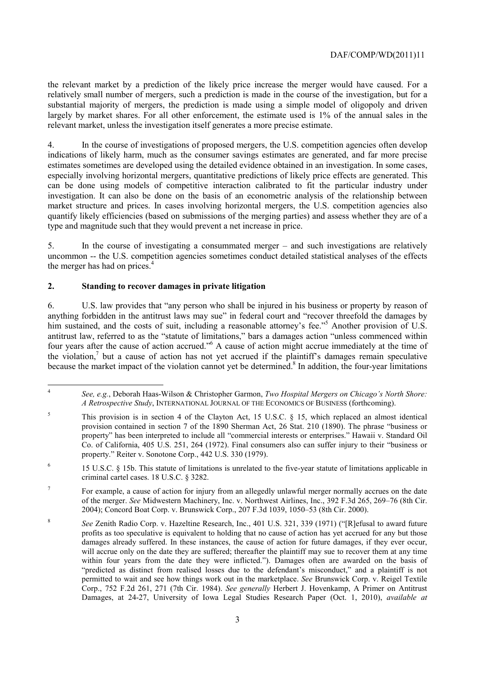largely by market shares. For all other enforcement, the estimate used is 1% of the annual sales in the the relevant market by a prediction of the likely price increase the merger would have caused. For a relatively small number of mergers, such a prediction is made in the course of the investigation, but for a substantial majority of mergers, the prediction is made using a simple model of oligopoly and driven relevant market, unless the investigation itself generates a more precise estimate.

4. In the course of investigations of proposed mergers, the U.S. competition agencies often develop indications of likely harm, much as the consumer savings estimates are generated, and far more precise estimates sometimes are developed using the detailed evidence obtained in an investigation. In some cases, especially involving horizontal mergers, quantitative predictions of likely price effects are generated. This can be done using models of competitive interaction calibrated to fit the particular industry under investigation. It can also be done on the basis of an econometric analysis of the relationship between market structure and prices. In cases involving horizontal mergers, the U.S. competition agencies also quantify likely efficiencies (based on submissions of the merging parties) and assess whether they are of a type and magnitude such that they would prevent a net increase in price.

5. In the course of investigating a consummated merger – and such investigations are relatively uncommon -- the U.S. competition agencies sometimes conduct detailed statistical analyses of the effects the merger has had on prices. $4$ 

# **2. Standing to recover damages in private litigation**

 $\overline{a}$ 

6. U.S. law provides that "any person who shall be injured in his business or property by reason of anything forbidden in the antitrust laws may sue" in federal court and "recover threefold the damages by him sustained, and the costs of suit, including a reasonable attorney's fee."<sup>5</sup> Another provision of U.S. antitrust law, referred to as the "statute of limitations," bars a damages action "unless commenced within four years after the cause of action accrued."<sup>6</sup> A cause of action might accrue immediately at the time of the violation,<sup>7</sup> but a cause of action has not yet accrued if the plaintiff's damages remain speculative because the market impact of the violation cannot yet be determined.<sup>8</sup> In addition, the four-year limitations

<sup>4</sup>*See, e.g.*, Deborah Haas-Wilson & Christopher Garmon, *Two Hospital Mergers on Chicago's North Shore: A Retrospective Study*, INTERNATIONAL JOURNAL OF THE ECONOMICS OF BUSINESS (forthcoming).

 provision contained in section 7 of the 1890 Sherman Act, 26 Stat. 210 (1890). The phrase "business or 5 This provision is in section 4 of the Clayton Act, 15 U.S.C. § 15, which replaced an almost identical property" has been interpreted to include all "commercial interests or enterprises." Hawaii v. Standard Oil Co. of California, 405 U.S. 251, 264 (1972). Final consumers also can suffer injury to their "business or property." Reiter v. Sonotone Corp., 442 U.S. 330 (1979).

<sup>6 15</sup> U.S.C. § 15b. This statute of limitations is unrelated to the five-year statute of limitations applicable in criminal cartel cases. 18 U.S.C. § 3282.

 2004); Concord Boat Corp. v. Brunswick Corp., 207 F.3d 1039, 1050–53 (8th Cir. 2000). <sup>7</sup> For example, a cause of action for injury from an allegedly unlawful merger normally accrues on the date of the merger. *See* Midwestern Machinery, Inc. v. Northwest Airlines, Inc., 392 F.3d 265, 269–76 (8th Cir.

 profits as too speculative is equivalent to holding that no cause of action has yet accrued for any but those will accrue only on the date they are suffered; thereafter the plaintiff may sue to recover them at any time within four years from the date they were inflicted."). Damages often are awarded on the basis of Corp., 752 F.2d 261, 271 (7th Cir. 1984). *See generally* Herbert J. Hovenkamp, A Primer on Antitrust <sup>8</sup>*See* Zenith Radio Corp. v. Hazeltine Research, Inc., 401 U.S. 321, 339 (1971) ("[R]efusal to award future damages already suffered. In these instances, the cause of action for future damages, if they ever occur, "predicted as distinct from realised losses due to the defendant's misconduct," and a plaintiff is not permitted to wait and see how things work out in the marketplace. *See* Brunswick Corp. v. Reigel Textile Damages, at 24-27, University of Iowa Legal Studies Research Paper (Oct. 1, 2010), *available at*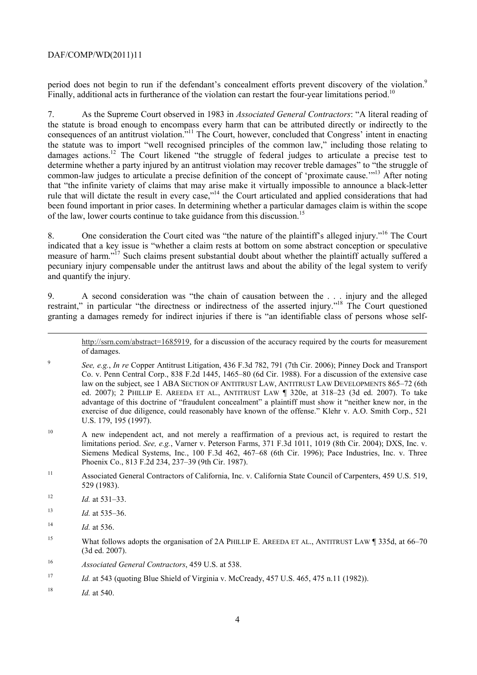period does not begin to run if the defendant's concealment efforts prevent discovery of the violation.<sup>9</sup> Finally, additional acts in furtherance of the violation can restart the four-year limitations period.<sup>10</sup>

 7. As the Supreme Court observed in 1983 in *Associated General Contractors*: "A literal reading of the statute is broad enough to encompass every harm that can be attributed directly or indirectly to the consequences of an antitrust violation."<sup>11</sup> The Court, however, concluded that Congress' intent in enacting the statute was to import "well recognised principles of the common law," including those relating to damages actions.<sup>12</sup> The Court likened "the struggle of federal judges to articulate a precise test to determine whether a party injured by an antitrust violation may recover treble damages" to "the struggle of common-law judges to articulate a precise definition of the concept of 'proximate cause.'"13 After noting that "the infinite variety of claims that may arise make it virtually impossible to announce a black-letter rule that will dictate the result in every case,"14 the Court articulated and applied considerations that had been found important in prior cases. In determining whether a particular damages claim is within the scope of the law, lower courts continue to take guidance from this discussion.<sup>15</sup>

8. One consideration the Court cited was "the nature of the plaintiff's alleged injury."<sup>16</sup> The Court indicated that a key issue is "whether a claim rests at bottom on some abstract conception or speculative measure of harm."17 Such claims present substantial doubt about whether the plaintiff actually suffered a pecuniary injury compensable under the antitrust laws and about the ability of the legal system to verify and quantify the injury.

9. A second consideration was "the chain of causation between the . . . injury and the alleged restraint," in particular "the directness or indirectness of the asserted injury."<sup>18</sup> The Court questioned granting a damages remedy for indirect injuries if there is "an identifiable class of persons whose self-

http://ssrn.com/abstract=1685919, for a discussion of the accuracy required by the courts for measurement of damages.

- exercise of due diligence, could reasonably have known of the offense." Klehr v. A.O. Smith Corp., 521 <sup>9</sup>*See, e.g.*, *In re* Copper Antitrust Litigation, 436 F.3d 782, 791 (7th Cir. 2006); Pinney Dock and Transport Co. v. Penn Central Corp., 838 F.2d 1445, 1465–80 (6d Cir. 1988). For a discussion of the extensive case law on the subject, see 1 ABA SECTION OF ANTITRUST LAW, ANTITRUST LAW DEVELOPMENTS 865–72 (6th ed. 2007); 2 PHILLIP E. AREEDA ET AL., ANTITRUST LAW ¶ 320e, at 318–23 (3d ed. 2007). To take advantage of this doctrine of "fraudulent concealment" a plaintiff must show it "neither knew nor, in the U.S. 179, 195 (1997).
- $10\,$ 10 A new independent act, and not merely a reaffirmation of a previous act, is required to restart the limitations period. *See, e.g.*, Varner v. Peterson Farms, 371 F.3d 1011, 1019 (8th Cir. 2004); DXS, Inc. v. Siemens Medical Systems, Inc., 100 F.3d 462, 467–68 (6th Cir. 1996); Pace Industries, Inc. v. Three Phoenix Co., 813 F.2d 234, 237–39 (9th Cir. 1987).
- 11 Associated General Contractors of California, Inc. v. California State Council of Carpenters, 459 U.S. 519, 529 (1983).
- $12$ <sup>12</sup>*Id.* at 531–33.
- $13$ <sup>13</sup>*Id.* at 535–36.
- $14$ <sup>14</sup>*Id.* at 536.

1

- <sup>15</sup> What follows adopts the organisation of 2A PHILLIP E. AREEDA ET AL., ANTITRUST LAW 1 335d, at 66–70 (3d ed. 2007).
- 16 <sup>16</sup>*Associated General Contractors*, 459 U.S. at 538.
- 17 *Id.* at 543 (quoting Blue Shield of Virginia v. McCready, 457 U.S. 465, 475 n.11 (1982)).
- <sup>18</sup>*Id.* at 540.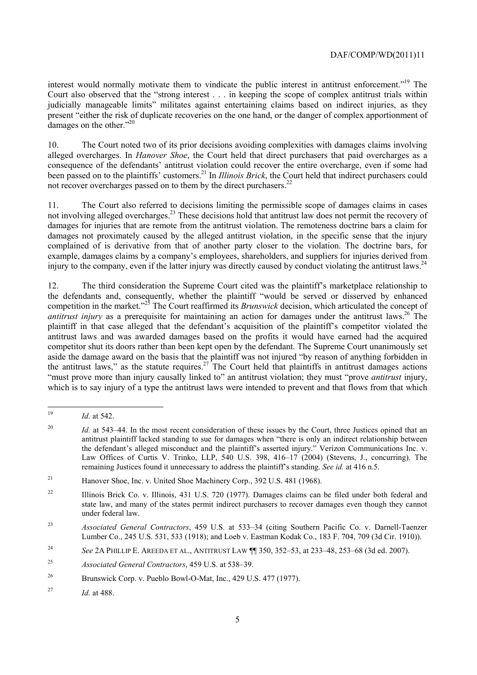interest would normally motivate them to vindicate the public interest in antitrust enforcement."19 The Court also observed that the "strong interest . . . in keeping the scope of complex antitrust trials within judicially manageable limits" militates against entertaining claims based on indirect injuries, as they present "either the risk of duplicate recoveries on the one hand, or the danger of complex apportionment of damages on the other."<sup>20</sup>

10. The Court noted two of its prior decisions avoiding complexities with damages claims involving alleged overcharges. In *Hanover Shoe*, the Court held that direct purchasers that paid overcharges as a consequence of the defendants' antitrust violation could recover the entire overcharge, even if some had been passed on to the plaintiffs' customers.21 In *Illinois Brick*, the Court held that indirect purchasers could not recover overcharges passed on to them by the direct purchasers.<sup>22</sup>

 damages for injuries that are remote from the antitrust violation. The remoteness doctrine bars a claim for 11. The Court also referred to decisions limiting the permissible scope of damages claims in cases not involving alleged overcharges.<sup>23</sup> These decisions hold that antitrust law does not permit the recovery of damages not proximately caused by the alleged antitrust violation, in the specific sense that the injury complained of is derivative from that of another party closer to the violation. The doctrine bars, for example, damages claims by a company's employees, shareholders, and suppliers for injuries derived from injury to the company, even if the latter injury was directly caused by conduct violating the antitrust laws.<sup>24</sup>

12. The third consideration the Supreme Court cited was the plaintiff's marketplace relationship to the defendants and, consequently, whether the plaintiff "would be served or disserved by enhanced competition in the market."<sup>25</sup> The Court reaffirmed its *Brunswick* decision, which articulated the concept of *antitrust injury* as a prerequisite for maintaining an action for damages under the antitrust laws.<sup>26</sup> The plaintiff in that case alleged that the defendant's acquisition of the plaintiff's competitor violated the antitrust laws and was awarded damages based on the profits it would have earned had the acquired competitor shut its doors rather than been kept open by the defendant. The Supreme Court unanimously set aside the damage award on the basis that the plaintiff was not injured "by reason of anything forbidden in the antitrust laws," as the statute requires.<sup>27</sup> The Court held that plaintiffs in antitrust damages actions "must prove more than injury causally linked to" an antitrust violation; they must "prove *antitrust* injury, which is to say injury of a type the antitrust laws were intended to prevent and that flows from that which

 $19$ *Id.* at 542.

 $20$ Id. at 543–44. In the most recent consideration of these issues by the Court, three Justices opined that an antitrust plaintiff lacked standing to sue for damages when "there is only an indirect relationship between the defendant's alleged misconduct and the plaintiff's asserted injury." Verizon Communications Inc. v. Law Offices of Curtis V. Trinko, LLP, 540 U.S. 398, 416–17 (2004) (Stevens, J., concurring). The remaining Justices found it unnecessary to address the plaintiff's standing. *See id.* at 416 n.5.

<sup>&</sup>lt;sup>21</sup> Hanover Shoe, Inc. v. United Shoe Machinery Corp., 392 U.S. 481 (1968).

<sup>&</sup>lt;sup>22</sup> Illinois Brick Co. v. Illinois, 431 U.S. 720 (1977). Damages claims can be filed under both federal and state law, and many of the states permit indirect purchasers to recover damages even though they cannot under federal law.

 $23$ <sup>23</sup>*Associated General Contractors*, 459 U.S. at 533–34 (citing Southern Pacific Co. v. Darnell-Taenzer Lumber Co., 245 U.S. 531, 533 (1918); and Loeb v. Eastman Kodak Co., 183 F. 704, 709 (3d Cir. 1910)).

<sup>24</sup> <sup>24</sup>*See* 2A PHILLIP E. AREEDA ET AL., ANTITRUST LAW ¶¶ 350, 352–53, at 233–48, 253–68 (3d ed. 2007).

<sup>25</sup> <sup>25</sup>*Associated General Contractors*, 459 U.S. at 538–39.

 $26$ Brunswick Corp. v. Pueblo Bowl-O-Mat, Inc., 429 U.S. 477 (1977).

<sup>27</sup>*Id.* at 488.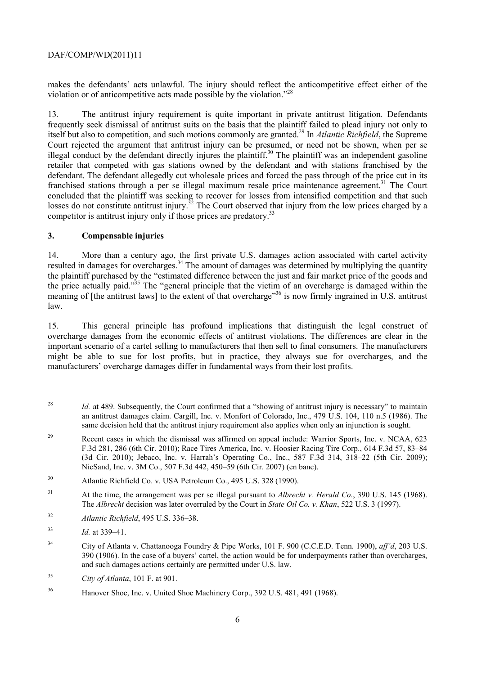makes the defendants' acts unlawful. The injury should reflect the anticompetitive effect either of the violation or of anticompetitive acts made possible by the violation."28

franchised stations through a per se illegal maximum resale price maintenance agreement.<sup>31</sup> The Court concluded that the plaintiff was seeking to recover for losses from intensified competition and that such losses do not constitute antitrust injury.<sup>32</sup> The Court observed that injury from the low prices charged by a 13. The antitrust injury requirement is quite important in private antitrust litigation. Defendants frequently seek dismissal of antitrust suits on the basis that the plaintiff failed to plead injury not only to itself but also to competition, and such motions commonly are granted.29 In *Atlantic Richfield*, the Supreme Court rejected the argument that antitrust injury can be presumed, or need not be shown, when per se illegal conduct by the defendant directly injures the plaintiff.<sup>30</sup> The plaintiff was an independent gasoline retailer that competed with gas stations owned by the defendant and with stations franchised by the defendant. The defendant allegedly cut wholesale prices and forced the pass through of the price cut in its competitor is antitrust injury only if those prices are predatory.<sup>33</sup>

## **3. Compensable injuries**

meaning of [the antitrust laws] to the extent of that overcharge<sup>356</sup> is now firmly ingrained in U.S. antitrust 14. More than a century ago, the first private U.S. damages action associated with cartel activity resulted in damages for overcharges.<sup>34</sup> The amount of damages was determined by multiplying the quantity the plaintiff purchased by the "estimated difference between the just and fair market price of the goods and the price actually paid."35 The "general principle that the victim of an overcharge is damaged within the law.

15. This general principle has profound implications that distinguish the legal construct of overcharge damages from the economic effects of antitrust violations. The differences are clear in the important scenario of a cartel selling to manufacturers that then sell to final consumers. The manufacturers might be able to sue for lost profits, but in practice, they always sue for overcharges, and the manufacturers' overcharge damages differ in fundamental ways from their lost profits.

 $28$ Id. at 489. Subsequently, the Court confirmed that a "showing of antitrust injury is necessary" to maintain an antitrust damages claim. Cargill, Inc. v. Monfort of Colorado, Inc., 479 U.S. 104, 110 n.5 (1986). The same decision held that the antitrust injury requirement also applies when only an injunction is sought.

<sup>&</sup>lt;sup>29</sup> Recent cases in which the dismissal was affirmed on appeal include: Warrior Sports, Inc. v. NCAA, 623 F.3d 281, 286 (6th Cir. 2010); Race Tires America, Inc. v. Hoosier Racing Tire Corp., 614 F.3d 57, 83–84 (3d Cir. 2010); Jebaco, Inc. v. Harrah's Operating Co., Inc., 587 F.3d 314, 318–22 (5th Cir. 2009); NicSand, Inc. v. 3M Co., 507 F.3d 442, 450–59 (6th Cir. 2007) (en banc).

<sup>30</sup> Atlantic Richfield Co. v. USA Petroleum Co., 495 U.S. 328 (1990).

<sup>31</sup>  The *Albrecht* decision was later overruled by the Court in *State Oil Co. v. Khan*, 522 U.S. 3 (1997). 31 At the time, the arrangement was per se illegal pursuant to *Albrecht v. Herald Co.*, 390 U.S. 145 (1968).

<sup>32</sup>*Atlantic Richfield*, 495 U.S. 336–38.

<sup>33</sup>*Id.* at 339–41.

<sup>34</sup> City of Atlanta v. Chattanooga Foundry & Pipe Works, 101 F. 900 (C.C.E.D. Tenn. 1900), *aff'd*, 203 U.S. 390 (1906). In the case of a buyers' cartel, the action would be for underpayments rather than overcharges, and such damages actions certainly are permitted under U.S. law.

<sup>35</sup> <sup>35</sup>*City of Atlanta*, 101 F. at 901.

<sup>36</sup> Hanover Shoe, Inc. v. United Shoe Machinery Corp., 392 U.S. 481, 491 (1968).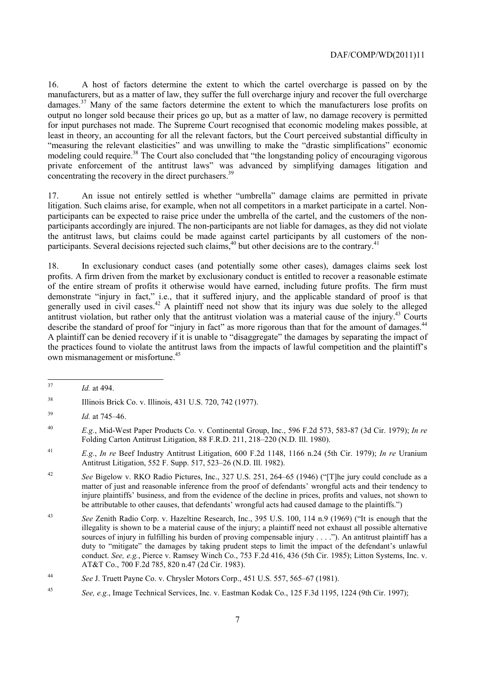16. A host of factors determine the extent to which the cartel overcharge is passed on by the manufacturers, but as a matter of law, they suffer the full overcharge injury and recover the full overcharge damages.<sup>37</sup> Many of the same factors determine the extent to which the manufacturers lose profits on output no longer sold because their prices go up, but as a matter of law, no damage recovery is permitted for input purchases not made. The Supreme Court recognised that economic modeling makes possible, at least in theory, an accounting for all the relevant factors, but the Court perceived substantial difficulty in "measuring the relevant elasticities" and was unwilling to make the "drastic simplifications" economic modeling could require.<sup>38</sup> The Court also concluded that "the longstanding policy of encouraging vigorous" private enforcement of the antitrust laws" was advanced by simplifying damages litigation and concentrating the recovery in the direct purchasers.<sup>39</sup>

17. An issue not entirely settled is whether "umbrella" damage claims are permitted in private litigation. Such claims arise, for example, when not all competitors in a market participate in a cartel. Nonparticipants can be expected to raise price under the umbrella of the cartel, and the customers of the nonparticipants accordingly are injured. The non-participants are not liable for damages, as they did not violate the antitrust laws, but claims could be made against cartel participants by all customers of the nonparticipants. Several decisions rejected such claims,<sup>40</sup> but other decisions are to the contrary.<sup>41</sup>

antitrust violation, but rather only that the antitrust violation was a material cause of the injury.<sup>43</sup> Courts 18. In exclusionary conduct cases (and potentially some other cases), damages claims seek lost profits. A firm driven from the market by exclusionary conduct is entitled to recover a reasonable estimate of the entire stream of profits it otherwise would have earned, including future profits. The firm must demonstrate "injury in fact," i.e., that it suffered injury, and the applicable standard of proof is that generally used in civil cases.<sup>42</sup> A plaintiff need not show that its injury was due solely to the alleged describe the standard of proof for "injury in fact" as more rigorous than that for the amount of damages.<sup>44</sup> A plaintiff can be denied recovery if it is unable to "disaggregate" the damages by separating the impact of the practices found to violate the antitrust laws from the impacts of lawful competition and the plaintiff's own mismanagement or misfortune.45

 $\overline{a}$ *Id.* at 494.

<sup>38</sup> 38 Illinois Brick Co. v. Illinois, 431 U.S. 720, 742 (1977).

<sup>39</sup> <sup>39</sup>*Id.* at 745–46.

 Folding Carton Antitrust Litigation, 88 F.R.D. 211, 218–220 (N.D. Ill. 1980). <sup>40</sup>*E.g.*, Mid-West Paper Products Co. v. Continental Group, Inc., 596 F.2d 573, 583-87 (3d Cir. 1979); *In re* 

<sup>41</sup>*E.g.*, *In re* Beef Industry Antitrust Litigation, 600 F.2d 1148, 1166 n.24 (5th Cir. 1979); *In re* Uranium Antitrust Litigation, 552 F. Supp. 517, 523–26 (N.D. Ill. 1982).

 $42$ <sup>42</sup>*See* Bigelow v. RKO Radio Pictures, Inc., 327 U.S. 251, 264–65 (1946) ("[T]he jury could conclude as a matter of just and reasonable inference from the proof of defendants' wrongful acts and their tendency to injure plaintiffs' business, and from the evidence of the decline in prices, profits and values, not shown to be attributable to other causes, that defendants' wrongful acts had caused damage to the plaintiffs.")

 $43$  sources of injury in fulfilling his burden of proving compensable injury . . . ."). An antitrust plaintiff has a <sup>43</sup>*See* Zenith Radio Corp. v. Hazeltine Research, Inc., 395 U.S. 100, 114 n.9 (1969) ("It is enough that the illegality is shown to be a material cause of the injury; a plaintiff need not exhaust all possible alternative duty to "mitigate" the damages by taking prudent steps to limit the impact of the defendant's unlawful conduct. *See, e.g.*, Pierce v. Ramsey Winch Co., 753 F.2d 416, 436 (5th Cir. 1985); Litton Systems, Inc. v. AT&T Co., 700 F.2d 785, 820 n.47 (2d Cir. 1983).

<sup>44</sup>*See* J. Truett Payne Co. v. Chrysler Motors Corp., 451 U.S. 557, 565–67 (1981).

<sup>45</sup>*See, e.g.*, Image Technical Services, Inc. v. Eastman Kodak Co., 125 F.3d 1195, 1224 (9th Cir. 1997);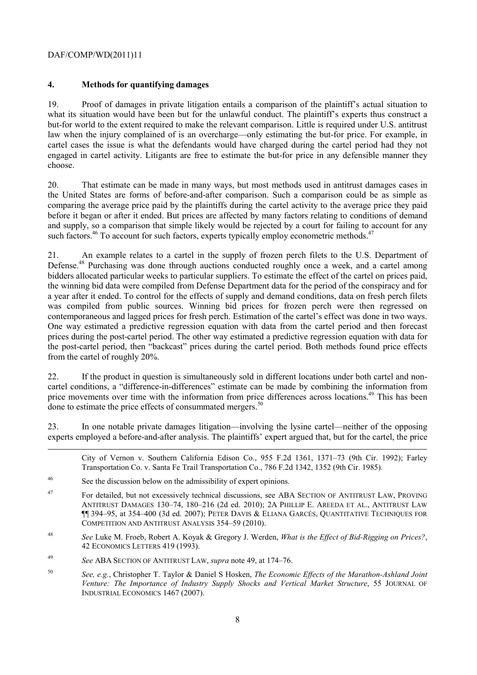1

# **4. Methods for quantifying damages**

19. Proof of damages in private litigation entails a comparison of the plaintiff's actual situation to what its situation would have been but for the unlawful conduct. The plaintiff's experts thus construct a but-for world to the extent required to make the relevant comparison. Little is required under U.S. antitrust law when the injury complained of is an overcharge—only estimating the but-for price. For example, in cartel cases the issue is what the defendants would have charged during the cartel period had they not engaged in cartel activity. Litigants are free to estimate the but-for price in any defensible manner they choose.

20. That estimate can be made in many ways, but most methods used in antitrust damages cases in the United States are forms of before-and-after comparison. Such a comparison could be as simple as comparing the average price paid by the plaintiffs during the cartel activity to the average price they paid before it began or after it ended. But prices are affected by many factors relating to conditions of demand and supply, so a comparison that simple likely would be rejected by a court for failing to account for any such factors.<sup>46</sup> To account for such factors, experts typically employ econometric methods.<sup>47</sup>

 bidders allocated particular weeks to particular suppliers. To estimate the effect of the cartel on prices paid, the winning bid data were compiled from Defense Department data for the period of the conspiracy and for 21. An example relates to a cartel in the supply of frozen perch filets to the U.S. Department of Defense.<sup>48</sup> Purchasing was done through auctions conducted roughly once a week, and a cartel among a year after it ended. To control for the effects of supply and demand conditions, data on fresh perch filets was compiled from public sources. Winning bid prices for frozen perch were then regressed on contemporaneous and lagged prices for fresh perch. Estimation of the cartel's effect was done in two ways. One way estimated a predictive regression equation with data from the cartel period and then forecast prices during the post-cartel period. The other way estimated a predictive regression equation with data for the post-cartel period, then "backcast" prices during the cartel period. Both methods found price effects from the cartel of roughly 20%.

22. If the product in question is simultaneously sold in different locations under both cartel and noncartel conditions, a "difference-in-differences" estimate can be made by combining the information from price movements over time with the information from price differences across locations.<sup>49</sup> This has been done to estimate the price effects of consummated mergers.<sup>50</sup>

23. In one notable private damages litigation—involving the lysine cartel—neither of the opposing experts employed a before-and-after analysis. The plaintiffs' expert argued that, but for the cartel, the price

City of Vernon v. Southern California Edison Co., 955 F.2d 1361, 1371–73 (9th Cir. 1992); Farley Transportation Co. v. Santa Fe Trail Transportation Co., 786 F.2d 1342, 1352 (9th Cir. 1985).

- 46 See the discussion below on the admissibility of expert opinions.
- ¶¶ 394–95, at 354–400 (3d ed. 2007); PETER DAVIS & ELIANA GARCÉS, QUANTITATIVE TECHNIQUES FOR 47 For detailed, but not excessively technical discussions, see ABA SECTION OF ANTITRUST LAW, PROVING ANTITRUST DAMAGES 130–74, 180–216 (2d ed. 2010); 2A PHILLIP E. AREEDA ET AL., ANTITRUST LAW COMPETITION AND ANTITRUST ANALYSIS 354–59 (2010).
- 48 <sup>48</sup>*See* Luke M. Froeb, Robert A. Koyak & Gregory J. Werden, *What is the Effect of Bid-Rigging on Prices?*, 42 ECONOMICS LETTERS 419 (1993).
- 49 <sup>49</sup>*See* ABA SECTION OF ANTITRUST LAW, *supra* note 49, at 174–76.
- <sup>50</sup>*See, e.g.*, Christopher T. Taylor & Daniel S Hosken, *The Economic Effects of the Marathon-Ashland Joint Venture: The Importance of Industry Supply Shocks and Vertical Market Structure*, 55 JOURNAL OF INDUSTRIAL ECONOMICS 1467 (2007).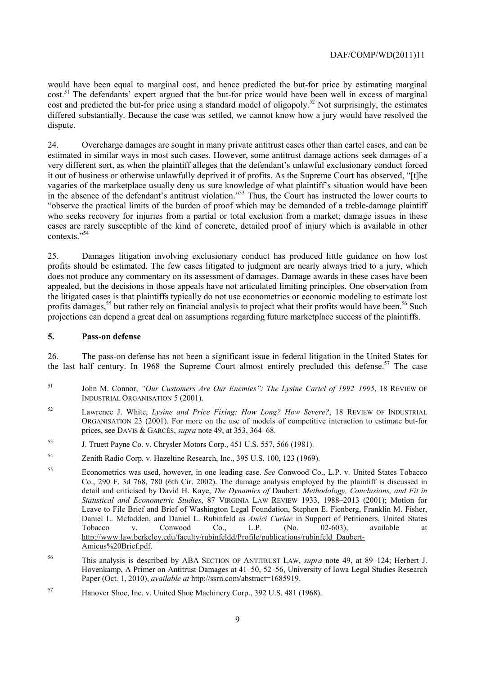would have been equal to marginal cost, and hence predicted the but-for price by estimating marginal cost.<sup>51</sup> The defendants' expert argued that the but-for price would have been well in excess of marginal cost and predicted the but-for price using a standard model of oligopoly.<sup>52</sup> Not surprisingly, the estimates differed substantially. Because the case was settled, we cannot know how a jury would have resolved the dispute.

24. Overcharge damages are sought in many private antitrust cases other than cartel cases, and can be estimated in similar ways in most such cases. However, some antitrust damage actions seek damages of a very different sort, as when the plaintiff alleges that the defendant's unlawful exclusionary conduct forced it out of business or otherwise unlawfully deprived it of profits. As the Supreme Court has observed, "It lhe vagaries of the marketplace usually deny us sure knowledge of what plaintiff's situation would have been in the absence of the defendant's antitrust violation."53 Thus, the Court has instructed the lower courts to "observe the practical limits of the burden of proof which may be demanded of a treble-damage plaintiff who seeks recovery for injuries from a partial or total exclusion from a market; damage issues in these cases are rarely susceptible of the kind of concrete, detailed proof of injury which is available in other contexts."54

25. Damages litigation involving exclusionary conduct has produced little guidance on how lost profits should be estimated. The few cases litigated to judgment are nearly always tried to a jury, which does not produce any commentary on its assessment of damages. Damage awards in these cases have been appealed, but the decisions in those appeals have not articulated limiting principles. One observation from the litigated cases is that plaintiffs typically do not use econometrics or economic modeling to estimate lost profits damages,<sup>55</sup> but rather rely on financial analysis to project what their profits would have been.<sup>56</sup> Such projections can depend a great deal on assumptions regarding future marketplace success of the plaintiffs.

#### **5. Pass-on defense**

26. The pass-on defense has not been a significant issue in federal litigation in the United States for the last half century. In 1968 the Supreme Court almost entirely precluded this defense.<sup>57</sup> The case

<sup>51</sup> John M. Connor, *"Our Customers Are Our Enemies": The Lysine Cartel of 1992–1995*, 18 REVIEW OF INDUSTRIAL ORGANISATION 5 (2001).

<sup>52</sup> 52 Lawrence J. White, *Lysine and Price Fixing: How Long? How Severe?*, 18 REVIEW OF INDUSTRIAL ORGANISATION 23 (2001). For more on the use of models of competitive interaction to estimate but-for prices, see DAVIS & GARCÉS, *supra* note 49, at 353, 364–68.

<sup>53</sup> 53 J. Truett Payne Co. v. Chrysler Motors Corp., 451 U.S. 557, 566 (1981).

<sup>54</sup> Zenith Radio Corp. v. Hazeltine Research, Inc., 395 U.S. 100, 123 (1969).

<sup>55</sup> Econometrics was used, however, in one leading case. *See* Conwood Co., L.P. v. United States Tobacco Co., 290 F. 3d 768, 780 (6th Cir. 2002). The damage analysis employed by the plaintiff is discussed in detail and criticised by David H. Kaye, *The Dynamics of* Daubert: *Methodology, Conclusions, and Fit in Statistical and Econometric Studies*, 87 VIRGINIA LAW REVIEW 1933, 1988–2013 (2001); Motion for Leave to File Brief and Brief of Washington Legal Foundation, Stephen E. Fienberg, Franklin M. Fisher, Daniel L. Mcfadden, and Daniel L. Rubinfeld as *Amici Curiae* in Support of Petitioners, United States Tobacco v. Conwood Co., L.P. (No. 02-603), available at http://www.law.berkeley.edu/faculty/rubinfeldd/Profile/publications/rubinfeld\_Daubert-Amicus%20Brief.pdf.

<sup>56</sup>  Hovenkamp, A Primer on Antitrust Damages at 41–50, 52–56, University of Iowa Legal Studies Research 56 This analysis is described by ABA SECTION OF ANTITRUST LAW, *supra* note 49, at 89–124; Herbert J. Paper (Oct. 1, 2010), *available at* http://ssrn.com/abstract=1685919.

<sup>57</sup> Hanover Shoe, Inc. v. United Shoe Machinery Corp., 392 U.S. 481 (1968).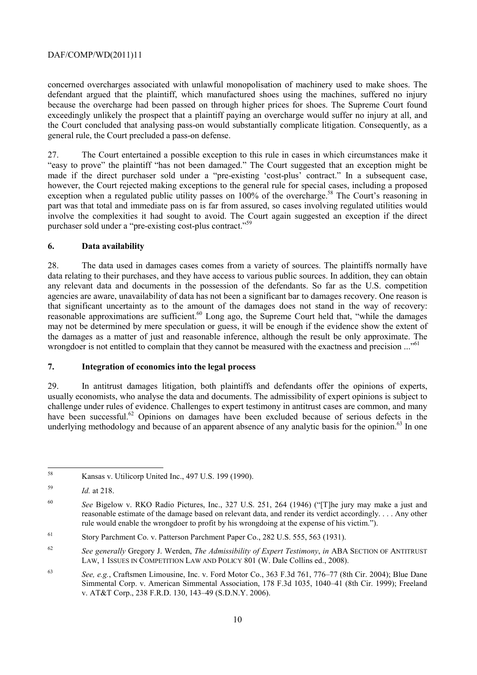concerned overcharges associated with unlawful monopolisation of machinery used to make shoes. The defendant argued that the plaintiff, which manufactured shoes using the machines, suffered no injury because the overcharge had been passed on through higher prices for shoes. The Supreme Court found exceedingly unlikely the prospect that a plaintiff paying an overcharge would suffer no injury at all, and the Court concluded that analysing pass-on would substantially complicate litigation. Consequently, as a general rule, the Court precluded a pass-on defense.

 involve the complexities it had sought to avoid. The Court again suggested an exception if the direct 27. The Court entertained a possible exception to this rule in cases in which circumstances make it "easy to prove" the plaintiff "has not been damaged." The Court suggested that an exception might be made if the direct purchaser sold under a "pre-existing 'cost-plus' contract." In a subsequent case, however, the Court rejected making exceptions to the general rule for special cases, including a proposed exception when a regulated public utility passes on  $100\%$  of the overcharge.<sup>58</sup> The Court's reasoning in part was that total and immediate pass on is far from assured, so cases involving regulated utilities would purchaser sold under a "pre-existing cost-plus contract."<sup>59</sup>

## **6. Data availability**

wrongdoer is not entitled to complain that they cannot be measured with the exactness and precision ..."<sup>61</sup> 28. The data used in damages cases comes from a variety of sources. The plaintiffs normally have data relating to their purchases, and they have access to various public sources. In addition, they can obtain any relevant data and documents in the possession of the defendants. So far as the U.S. competition agencies are aware, unavailability of data has not been a significant bar to damages recovery. One reason is that significant uncertainty as to the amount of the damages does not stand in the way of recovery: reasonable approximations are sufficient.<sup>60</sup> Long ago, the Supreme Court held that, "while the damages" may not be determined by mere speculation or guess, it will be enough if the evidence show the extent of the damages as a matter of just and reasonable inference, although the result be only approximate. The

## **7. Integration of economics into the legal process**

29. In antitrust damages litigation, both plaintiffs and defendants offer the opinions of experts, usually economists, who analyse the data and documents. The admissibility of expert opinions is subject to challenge under rules of evidence. Challenges to expert testimony in antitrust cases are common, and many have been successful.<sup>62</sup> Opinions on damages have been excluded because of serious defects in the underlying methodology and because of an apparent absence of any analytic basis for the opinion.<sup>63</sup> In one

 $58$ Kansas v. Utilicorp United Inc., 497 U.S. 199 (1990).

<sup>59</sup>*Id.* at 218.

<sup>60</sup>  rule would enable the wrongdoer to profit by his wrongdoing at the expense of his victim."). <sup>60</sup>*See* Bigelow v. RKO Radio Pictures, Inc., 327 U.S. 251, 264 (1946) ("[T]he jury may make a just and reasonable estimate of the damage based on relevant data, and render its verdict accordingly. . . . Any other

<sup>61</sup> Story Parchment Co. v. Patterson Parchment Paper Co., 282 U.S. 555, 563 (1931).

<sup>62</sup> <sup>62</sup>*See generally* Gregory J. Werden, *The Admissibility of Expert Testimony*, *in* ABA SECTION OF ANTITRUST LAW, 1 ISSUES IN COMPETITION LAW AND POLICY 801 (W. Dale Collins ed., 2008).

<sup>63</sup> <sup>63</sup>*See, e.g.*, Craftsmen Limousine, Inc. v. Ford Motor Co., 363 F.3d 761, 776–77 (8th Cir. 2004); Blue Dane Simmental Corp. v. American Simmental Association, 178 F.3d 1035, 1040–41 (8th Cir. 1999); Freeland v. AT&T Corp., 238 F.R.D. 130, 143–49 (S.D.N.Y. 2006).